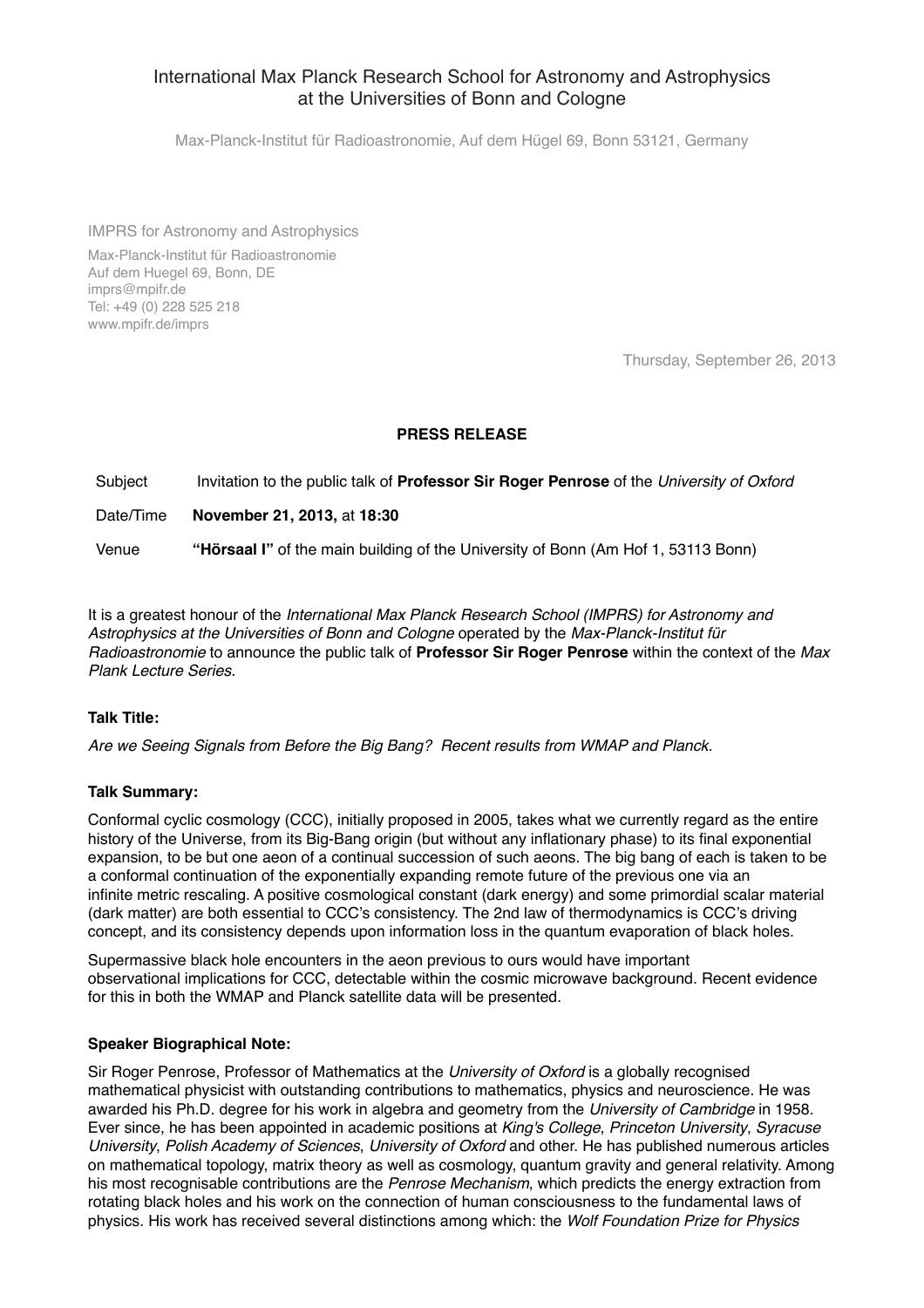# International Max Planck Research School for Astronomy and Astrophysics at the Universities of Bonn and Cologne

Max-Planck-Institut für Radioastronomie, Auf dem Hügel 69, Bonn 53121, Germany

IMPRS for Astronomy and Astrophysics

Max-Planck-Institut für Radioastronomie Auf dem Huegel 69, Bonn, DE imprs@mpifr.de Tel: +49 (0) 228 525 218 www.mpifr.de/imprs

Thursday, September 26, 2013

## **PRESS RELEASE**

Subject Invitation to the public talk of **Professor Sir Roger Penrose** of the *University of Oxford*

Date/Time **November 21, 2013,** at **18:30**

Venue **"Hörsaal I"** of the main building of the University of Bonn (Am Hof 1, 53113 Bonn)

It is a greatest honour of the *International Max Planck Research School (IMPRS) for Astronomy and Astrophysics at the Universities of Bonn and Cologne* operated by the *Max-Planck-Institut für Radioastronomie* to announce the public talk of **Professor Sir Roger Penrose** within the context of the *Max Plank Lecture Series.*

#### **Talk Title:**

*Are we Seeing Signals from Before the Big Bang? Recent results from WMAP and Planck.*

#### **Talk Summary:**

Conformal cyclic cosmology (CCC), initially proposed in 2005, takes what we currently regard as the entire history of the Universe, from its Big-Bang origin (but without any inflationary phase) to its final exponential expansion, to be but one aeon of a continual succession of such aeons. The big bang of each is taken to be a conformal continuation of the exponentially expanding remote future of the previous one via an infinite metric rescaling. A positive cosmological constant (dark energy) and some primordial scalar material (dark matter) are both essential to CCC's consistency. The 2nd law of thermodynamics is CCC's driving concept, and its consistency depends upon information loss in the quantum evaporation of black holes.

Supermassive black hole encounters in the aeon previous to ours would have important observational implications for CCC, detectable within the cosmic microwave background. Recent evidence for this in both the WMAP and Planck satellite data will be presented.

#### **Speaker Biographical Note:**

Sir Roger Penrose, Professor of Mathematics at the *University of Oxford* is a globally recognised mathematical physicist with outstanding contributions to mathematics, physics and neuroscience. He was awarded his Ph.D. degree for his work in algebra and geometry from the *University of Cambridge* in 1958. Ever since, he has been appointed in academic positions at *King's College*, *Princeton University*, *Syracuse University*, *Polish Academy of Sciences*, *University of Oxford* and other. He has published numerous articles on mathematical topology, matrix theory as well as cosmology, quantum gravity and general relativity. Among his most recognisable contributions are the *Penrose Mechanism*, which predicts the energy extraction from rotating black holes and his work on the connection of human consciousness to the fundamental laws of physics. His work has received several distinctions among which: the *Wolf Foundation Prize for Physics*